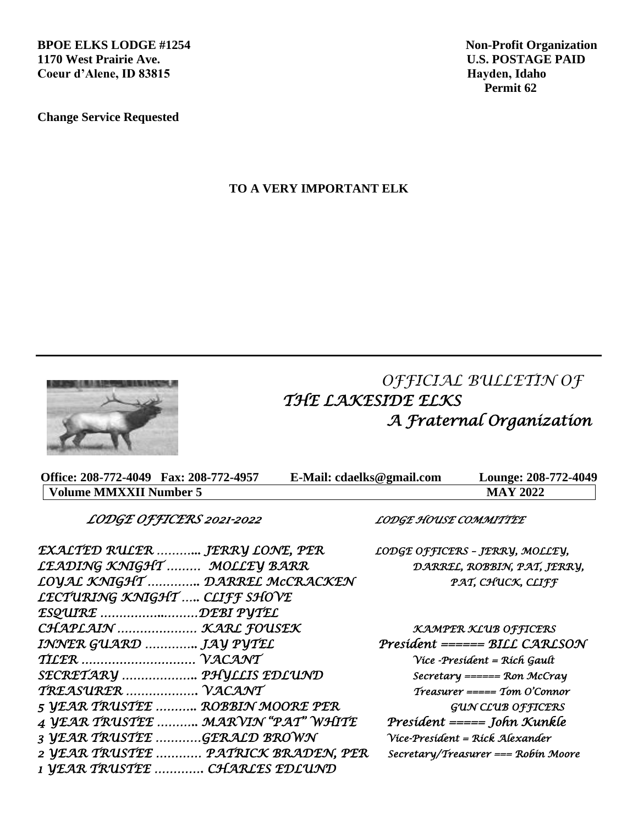**BPOE ELKS LODGE #1254** Non-Profit Organization **1170 West Prairie Ave. U.S. POSTAGE PAID**  Coeur d'Alene, ID 83815 **Hayden, Idaho Hayden, Idaho Hayden, Idaho Hayden, Idaho** 

**Change Service Requested**

 **Permit 62**

**TO A VERY IMPORTANT ELK**



 *OFFICIAL BULLETIN OF THE LAKESIDE ELKS A Fraternal Organization* 

| Office: 208-772-4049 Fax: 208-772-4957 | E-Mail: cdaelks@gmail.com | Lounge: 208-772-4049 |
|----------------------------------------|---------------------------|----------------------|
| Volume MMXXII Number 5                 |                           | <b>MAY 2022</b>      |

 *LODGE OFFICERS 2021-2022 LODGE HOUSE COMMITTEE* 

*LECTURING KNIGHT ….. CLIFF SHOVE ESQUIRE ……………..………DEBI PYTEL* 

*1 YEAR TRUSTEE …………. CHARLES EDLUND* 

*EXALTED RULER ………... JERRY LONE, PER LODGE OFFICERS – JERRY, MOLLEY, LEADING KNIGHT ……… MOLLEY BARR DARREL, ROBBIN, PAT, JERRY, LOYAL KNIGHT ………….. DARREL McCRACKEN PAT, CHUCK, CLIFF* 

*CHAPLAIN ………………… KARL FOUSEK KAMPER KLUB OFFICERS INNER GUARD ………….. JAY PYTEL President ====== BILL CARLSON TILER ………………………… VACANT Vice -President = Rich Gault SECRETARY ……………….. PHYLLIS EDLUND Secretary ====== Ron McCray TREASURER ………………. VACANT Treasurer ===== Tom O'Connor 5 YEAR TRUSTEE ……….. ROBBIN MOORE PER GUN CLUB OFFICERS 4 YEAR TRUSTEE ……….. MARVIN "PAT" WHITE President ===== John Kunkle 3 YEAR TRUSTEE …………GERALD BROWN Vice-President = Rick Alexander 2 YEAR TRUSTEE ………… PATRICK BRADEN, PER Secretary/Treasurer === Robin Moore*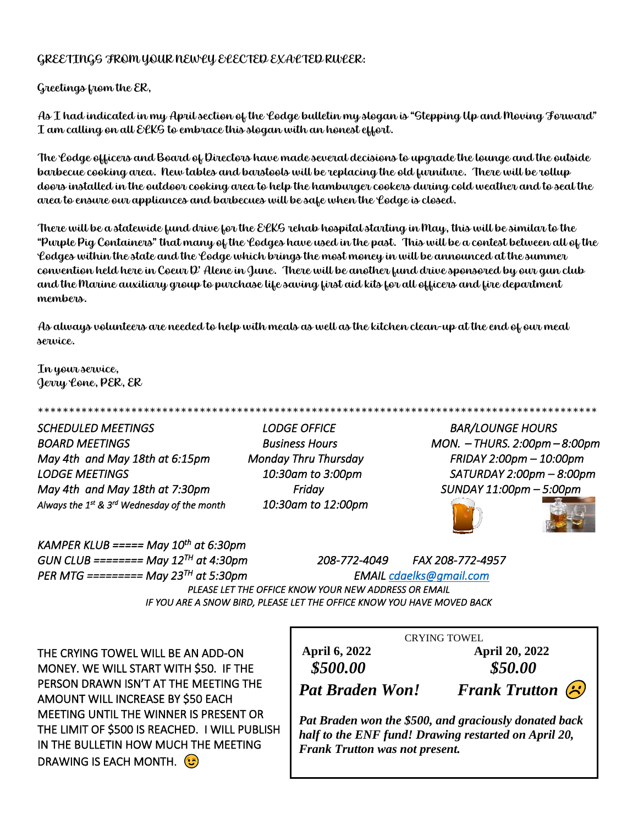#### GREETINGS FROM YOUR NEWLY ELECTED EXALTED RULER:

Greetings from the ER,

As I had indicated in my April section of the Lodge bulletin my slogan is "Stepping Up and Moving Forward" I am calling on all ELKS to embrace this slogan with an honest effort.

The Lodge officers and Board of Directors have made several decisions to upgrade the lounge and the outside barbecue cooking area. New tables and barstools will be replacing the old furniture. There will be rollup doors installed in the outdoor cooking area to help the hamburger cookers during cold weather and to seal the area to ensure our appliances and barbecues will be safe when the Lodge is closed.

There will be a statewide fund drive for the ELKS rehab hospital starting in May, this will be similar to the "Purple Pig Containers" that many of the Lodges have used in the past. This will be a contest between all of the Lodges within the state and the Lodge which brings the most money in will be announced at the summer convention held here in Coeur D' Alene in June. There will be another fund drive sponsored by our gun club and the Marine auxiliary group to purchase life saving first aid kits for all officers and fire department members.

As always volunteers are needed to help with meals as well as the kitchen clean-up at the end of our meal service.

In your service, Jerry Lone, PER, ER

*SCHEDULED MEETINGS LODGE OFFICE BAR/LOUNGE HOURS BOARD MEETINGS Business Hours MON. – THURS. 2:00pm – 8:00pm May 4th and May 18th at 6:15pm Monday Thru Thursday FRIDAY 2:00pm – 10:00pm LODGE MEETINGS 10:30am to 3:00pm SATURDAY 2:00pm – 8:00pm May 4th and May 18th at 7:30pm* Friday Friday SUNDAY 11:00pm – 5:00pm *Always the 1st & 3rd Wednesday of the month 10:30am to 12:00pm* 

\*\*\*\*\*\*\*\*\*\*\*\*\*\*\*\*\*\*\*\*\*\*\*\*\*\*\*\*\*\*\*\*\*\*\*\*\*\*\*\*\*\*\*\*\*\*\*\*\*\*\*\*\*\*\*\*\*\*\*\*\*\*\*\*\*\*\*\*\*\*\*\*\*\*\*\*\*\*\*\*\*\*\*\*\*\*\*\*\*\*





*KAMPER KLUB ===== May 10th at 6:30pm GUN CLUB ======== May 12TH at 4:30pm 208-772-4049 FAX 208-772-4957 PER MTG ========= May 23TH*  $E$ *MAIL cdaelks@gmail.com PLEASE LET THE OFFICE KNOW YOUR NEW ADDRESS OR EMAIL IF YOU ARE A SNOW BIRD, PLEASE LET THE OFFICE KNOW YOU HAVE MOVED BACK* 

THE CRYING TOWEL WILL BE AN ADD-ON MONEY. WE WILL START WITH \$50. IF THE PERSON DRAWN ISN'T AT THE MEETING THE AMOUNT WILL INCREASE BY \$50 EACH MEETING UNTIL THE WINNER IS PRESENT OR THE LIMIT OF \$500 IS REACHED. I WILL PUBLISH IN THE BULLETIN HOW MUCH THE MEETING DRAWING IS EACH MONTH.

CRYING TOWEL

**April 6, 2022 April 20, 2022** *\$500.00 \$50.00*

*Pat Braden Won! Frank Trutton*

*Pat Braden won the \$500, and graciously donated back half to the ENF fund! Drawing restarted on April 20, Frank Trutton was not present.*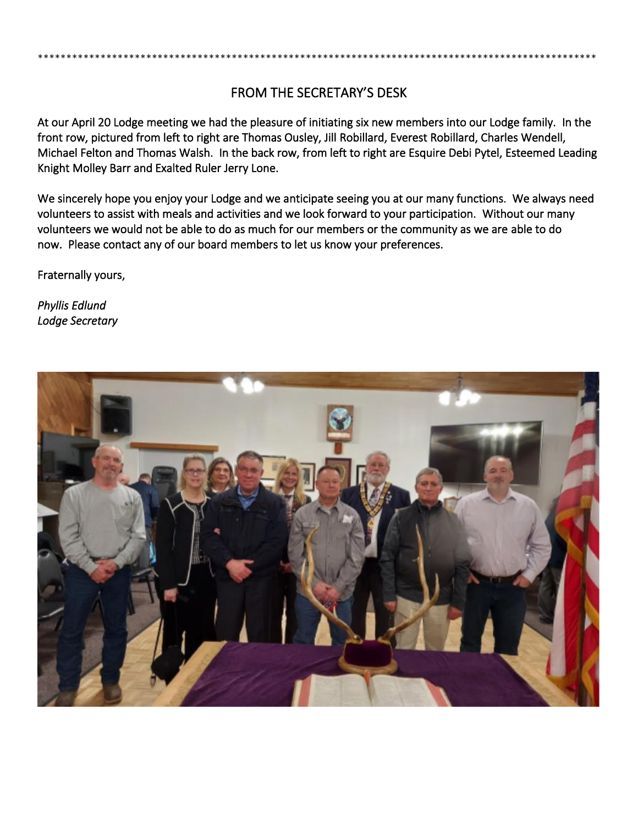#### FROM THE SECRETARY'S DESK

\*\*\*\*\*\*\*\*\*\*\*\*\*\*\*\*\*\*\*\*\*\*\*\*\*\*\*\*\*\*\*\*\*\*\*\*\*\*\*\*\*\*\*\*\*\*\*\*\*\*\*\*\*\*\*\*\*\*\*\*\*\*\*\*\*\*\*\*\*\*\*\*\*\*\*\*\*\*\*\*\*\*\*\*\*\*\*\*\*\*\*\*\*\*\*\*\*\*

At our April 20 Lodge meeting we had the pleasure of initiating six new members into our Lodge family. In the front row, pictured from left to right are Thomas Ousley, Jill Robillard, Everest Robillard, Charles Wendell, Michael Felton and Thomas Walsh. In the back row, from left to right are Esquire Debi Pytel, Esteemed Leading Knight Molley Barr and Exalted Ruler Jerry Lone.

We sincerely hope you enjoy your Lodge and we anticipate seeing you at our many functions. We always need volunteers to assist with meals and activities and we look forward to your participation. Without our many volunteers we would not be able to do as much for our members or the community as we are able to do now. Please contact any of our board members to let us know your preferences.

Fraternally yours,

*Phyllis Edlund Lodge Secretary* 

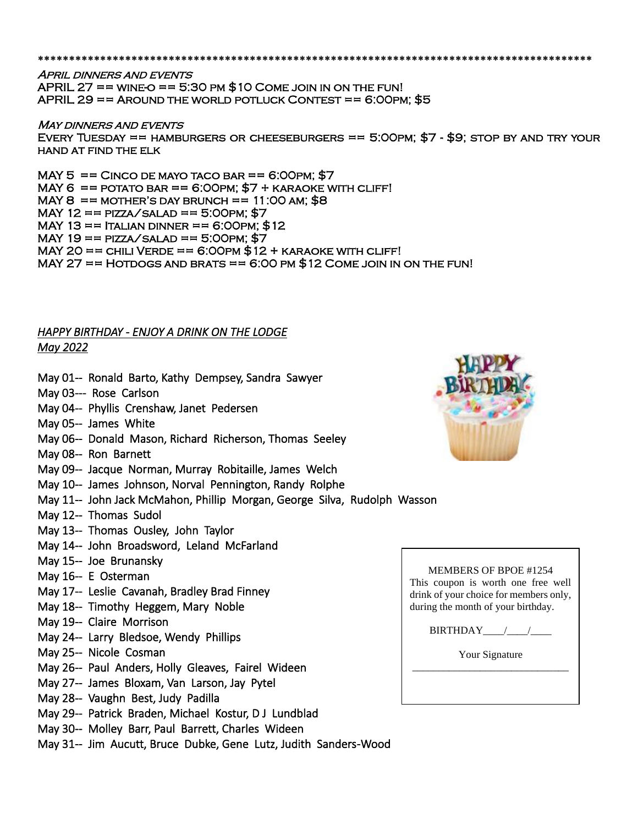\*\*\*\*\*\*\*\*\*\*\*\*\*\*\*\*\*\*\*\*\*\*\*\*\*\*\*\*\*\*\*\*\*\*\*

**APRIL DINNERS AND EVENTS** APRIL 27 == WINE-O == 5:30 PM  $$10$  COME JOIN IN ON THE FUN! APRIL 29  $==$  AROUND THE WORLD POTLUCK CONTEST  $==$  6:00PM; \$5

#### **MAY DINNERS AND EVENTS**

EVERY TUESDAY == HAMBURGERS OR CHEESEBURGERS == 5:00PM;  $$7 - $9$ ; stop by and try your hand at find the elk

MAY  $5 =$   $=$  CINCO DE MAYO TACO BAR  $=$   $=$  6:00 PM; \$7 MAY 6  $==$  POTATO BAR  $==$  6:00PM;  $$7 +$  KARAOKE WITH CLIFF! MAY 8  $==$  MOTHER'S DAY BRUNCH  $== 11:OO$  AM; \$8 MAY 12 ==  $\text{PIZZA/ SALAD}$  == 5:00PM; \$7 MAY 13  $==$  ITALIAN DINNER  $==$  6:00PM; \$12 MAY 19  $==$  PIZZA/SALAD  $==$  5:00PM; \$7 MAY 20 == CHILI VERDE ==  $6:00$ PM  $$12 + KARAOKE$  WITH CLIFF! MAY 27 == HOTDOGS AND BRATS == 6:00 PM  $$12$  COME JOIN IN ON THE FUN!

#### *HAPPY BIRTHDAY - ENJOY A DRINK ON THE LODGE May 2022*

- May 01-- Ronald Barto, Kathy Dempsey, Sandra Sawyer
- May 03--- Rose Carlson
- May 04-- Phyllis Crenshaw, Janet Pedersen
- May 05-- James White
- May 06-- Donald Mason, Richard Richerson, Thomas Seeley
- May 08-- Ron Barnett
- May 09-- Jacque Norman, Murray Robitaille, James Welch
- May 10-- James Johnson, Norval Pennington, Randy Rolphe
- May 11-- John Jack McMahon, Phillip Morgan, George Silva, Rudolph Wasson
- May 12-- Thomas Sudol
- May 13-- Thomas Ousley, John Taylor
- May 14-- John Broadsword, Leland McFarland
- May 15-- Joe Brunansky
- May 16-- E Osterman
- May 17-- Leslie Cavanah, Bradley Brad Finney
- May 18-- Timothy Heggem, Mary Noble
- May 19-- Claire Morrison
- May 24-- Larry Bledsoe, Wendy Phillips
- May 25-- Nicole Cosman
- May 26-- Paul Anders, Holly Gleaves, Fairel Wideen
- May 27-- James Bloxam, Van Larson, Jay Pytel
- May 28-- Vaughn Best, Judy Padilla
- May 29-- Patrick Braden, Michael Kostur, D J Lundblad
- May 30-- Molley Barr, Paul Barrett, Charles Wideen
- May 31-- Jim Aucutt, Bruce Dubke, Gene Lutz, Judith Sanders-Wood



| MEMBERS OF BPOE #1254                  |                                    |  |  |  |  |  |  |
|----------------------------------------|------------------------------------|--|--|--|--|--|--|
|                                        | This coupon is worth one free well |  |  |  |  |  |  |
| drink of your choice for members only, |                                    |  |  |  |  |  |  |
| during the month of your birthday.     |                                    |  |  |  |  |  |  |

BIRTHDAY\_\_\_\_/\_\_\_\_/\_\_\_\_

Your Signature \_\_\_\_\_\_\_\_\_\_\_\_\_\_\_\_\_\_\_\_\_\_\_\_\_\_\_\_\_\_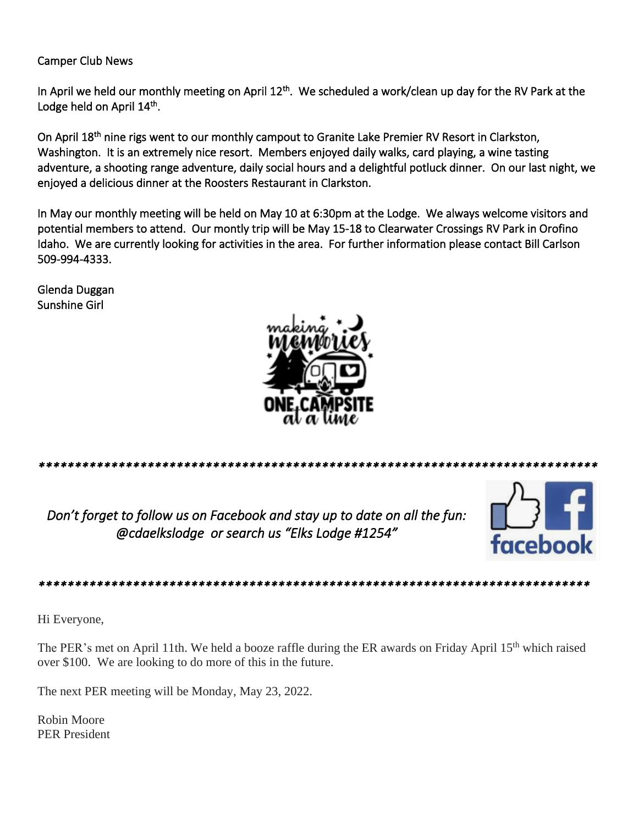#### **Camper Club News**

In April we held our monthly meeting on April 12<sup>th</sup>. We scheduled a work/clean up day for the RV Park at the Lodge held on April 14<sup>th</sup>.

On April 18<sup>th</sup> nine rigs went to our monthly campout to Granite Lake Premier RV Resort in Clarkston, Washington. It is an extremely nice resort. Members enjoyed daily walks, card playing, a wine tasting adventure, a shooting range adventure, daily social hours and a delightful potluck dinner. On our last night, we enjoyed a delicious dinner at the Roosters Restaurant in Clarkston.

In May our monthly meeting will be held on May 10 at 6:30pm at the Lodge. We always welcome visitors and potential members to attend. Our montly trip will be May 15-18 to Clearwater Crossings RV Park in Orofino Idaho. We are currently looking for activities in the area. For further information please contact Bill Carlson 509-994-4333.

Glenda Duggan Sunshine Girl



Don't forget to follow us on Facebook and stay up to date on all the fun:

@cdaelkslodge or search us "Elks Lodge #1254"



#### 

Hi Everyone,

The PER's met on April 11th. We held a booze raffle during the ER awards on Friday April 15<sup>th</sup> which raised over \$100. We are looking to do more of this in the future.

The next PER meeting will be Monday, May 23, 2022.

Robin Moore **PER President**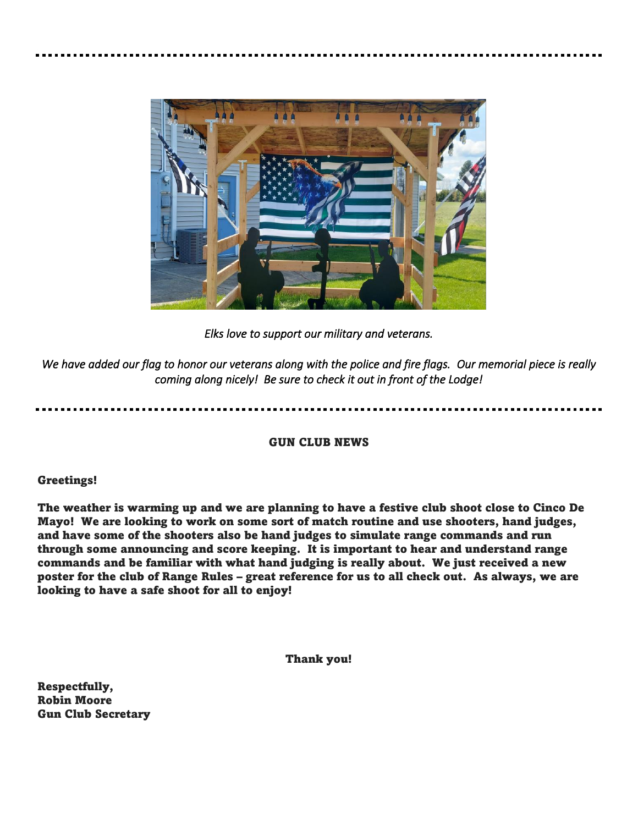

*Elks love to support our military and veterans.* 

*We have added our flag to honor our veterans along with the police and fire flags. Our memorial piece is really coming along nicely! Be sure to check it out in front of the Lodge!*

#### GUN CLUB NEWS

#### Greetings!

The weather is warming up and we are planning to have a festive club shoot close to Cinco De Mayo! We are looking to work on some sort of match routine and use shooters, hand judges, and have some of the shooters also be hand judges to simulate range commands and run through some announcing and score keeping. It is important to hear and understand range commands and be familiar with what hand judging is really about. We just received a new poster for the club of Range Rules – great reference for us to all check out. As always, we are looking to have a safe shoot for all to enjoy!

Thank you!

Respectfully, Robin Moore Gun Club Secretary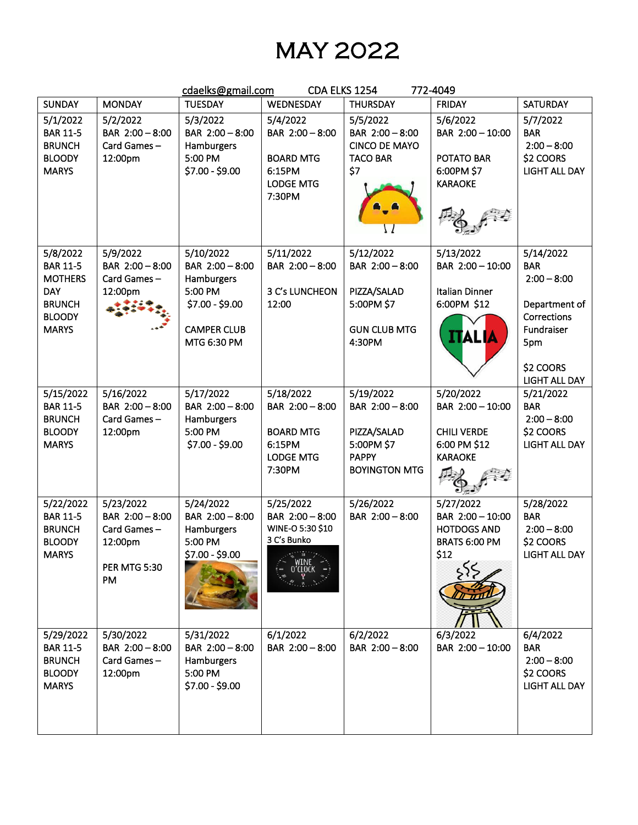## MAY 2022

| cdaelks@gmail.com<br>CDA ELKS 1254<br>772-4049                                                                |                                                                                     |                                                                                                               |                                                                                          |                                                                                                   |                                                                                       |                                                                                                                                    |  |  |
|---------------------------------------------------------------------------------------------------------------|-------------------------------------------------------------------------------------|---------------------------------------------------------------------------------------------------------------|------------------------------------------------------------------------------------------|---------------------------------------------------------------------------------------------------|---------------------------------------------------------------------------------------|------------------------------------------------------------------------------------------------------------------------------------|--|--|
| <b>SUNDAY</b>                                                                                                 | <b>MONDAY</b>                                                                       | <b>TUESDAY</b>                                                                                                | WEDNESDAY                                                                                | <b>THURSDAY</b>                                                                                   | <b>FRIDAY</b>                                                                         | <b>SATURDAY</b>                                                                                                                    |  |  |
| 5/1/2022<br><b>BAR 11-5</b><br><b>BRUNCH</b><br><b>BLOODY</b><br><b>MARYS</b>                                 | 5/2/2022<br>BAR 2:00 - 8:00<br>Card Games-<br>12:00pm                               | 5/3/2022<br>BAR 2:00 - 8:00<br>Hamburgers<br>5:00 PM<br>\$7.00 - \$9.00                                       | 5/4/2022<br>BAR 2:00 - 8:00<br><b>BOARD MTG</b><br>6:15PM<br><b>LODGE MTG</b><br>7:30PM  | 5/5/2022<br>BAR 2:00 - 8:00<br><b>CINCO DE MAYO</b><br><b>TACO BAR</b><br>\$7                     | 5/6/2022<br>BAR 2:00 - 10:00<br>POTATO BAR<br>6:00PM \$7<br><b>KARAOKE</b>            | 5/7/2022<br><b>BAR</b><br>$2:00 - 8:00$<br>\$2 COORS<br><b>LIGHT ALL DAY</b>                                                       |  |  |
| 5/8/2022<br><b>BAR 11-5</b><br><b>MOTHERS</b><br><b>DAY</b><br><b>BRUNCH</b><br><b>BLOODY</b><br><b>MARYS</b> | 5/9/2022<br>BAR 2:00 - 8:00<br>Card Games-<br>12:00pm                               | 5/10/2022<br>BAR 2:00 - 8:00<br>Hamburgers<br>5:00 PM<br>$$7.00 - $9.00$<br><b>CAMPER CLUB</b><br>MTG 6:30 PM | 5/11/2022<br>BAR 2:00 - 8:00<br>3 C's LUNCHEON<br>12:00                                  | 5/12/2022<br>BAR 2:00 - 8:00<br>PIZZA/SALAD<br>5:00PM \$7<br><b>GUN CLUB MTG</b><br>4:30PM        | 5/13/2022<br>BAR 2:00 - 10:00<br>Italian Dinner<br>6:00PM \$12<br><b>ITALIA</b>       | 5/14/2022<br><b>BAR</b><br>$2:00 - 8:00$<br>Department of<br>Corrections<br>Fundraiser<br>5pm<br>\$2 COORS<br><b>LIGHT ALL DAY</b> |  |  |
| 5/15/2022<br><b>BAR 11-5</b><br><b>BRUNCH</b><br><b>BLOODY</b><br><b>MARYS</b>                                | 5/16/2022<br>BAR 2:00 - 8:00<br>Card Games-<br>12:00pm                              | 5/17/2022<br>BAR 2:00 - 8:00<br>Hamburgers<br>5:00 PM<br>$$7.00 - $9.00$                                      | 5/18/2022<br>BAR 2:00 - 8:00<br><b>BOARD MTG</b><br>6:15PM<br><b>LODGE MTG</b><br>7:30PM | 5/19/2022<br>BAR 2:00 - 8:00<br>PIZZA/SALAD<br>5:00PM \$7<br><b>PAPPY</b><br><b>BOYINGTON MTG</b> | 5/20/2022<br>BAR 2:00 - 10:00<br><b>CHILI VERDE</b><br>6:00 PM \$12<br><b>KARAOKE</b> | 5/21/2022<br><b>BAR</b><br>$2:00 - 8:00$<br>\$2 COORS<br><b>LIGHT ALL DAY</b>                                                      |  |  |
| 5/22/2022<br><b>BAR 11-5</b><br><b>BRUNCH</b><br><b>BLOODY</b><br><b>MARYS</b>                                | 5/23/2022<br>BAR 2:00 - 8:00<br>Card Games-<br>12:00pm<br><b>PER MTG 5:30</b><br>PM | 5/24/2022<br>BAR 2:00 - 8:00<br>Hamburgers<br>5:00 PM<br>$$7.00 - $9.00$                                      | 5/25/2022<br>BAR 2:00 - 8:00<br>WINE-O 5:30 \$10<br>3 C's Bunko                          | 5/26/2022<br>BAR 2:00 - 8:00                                                                      | 5/27/2022<br>BAR 2:00 - 10:00<br><b>HOTDOGS AND</b><br>BRATS 6:00 PM<br>\$12          | 5/28/2022<br><b>BAR</b><br>$2:00 - 8:00$<br>\$2 COORS<br><b>LIGHT ALL DAY</b>                                                      |  |  |
| 5/29/2022<br><b>BAR 11-5</b><br><b>BRUNCH</b><br><b>BLOODY</b><br><b>MARYS</b>                                | 5/30/2022<br>BAR 2:00 - 8:00<br>Card Games-<br>12:00pm                              | 5/31/2022<br>BAR 2:00 - 8:00<br>Hamburgers<br>5:00 PM<br>\$7.00 - \$9.00                                      | 6/1/2022<br>BAR 2:00 - 8:00                                                              | 6/2/2022<br>BAR 2:00 - 8:00                                                                       | 6/3/2022<br>BAR 2:00 - 10:00                                                          | 6/4/2022<br><b>BAR</b><br>$2:00 - 8:00$<br>\$2 COORS<br><b>LIGHT ALL DAY</b>                                                       |  |  |